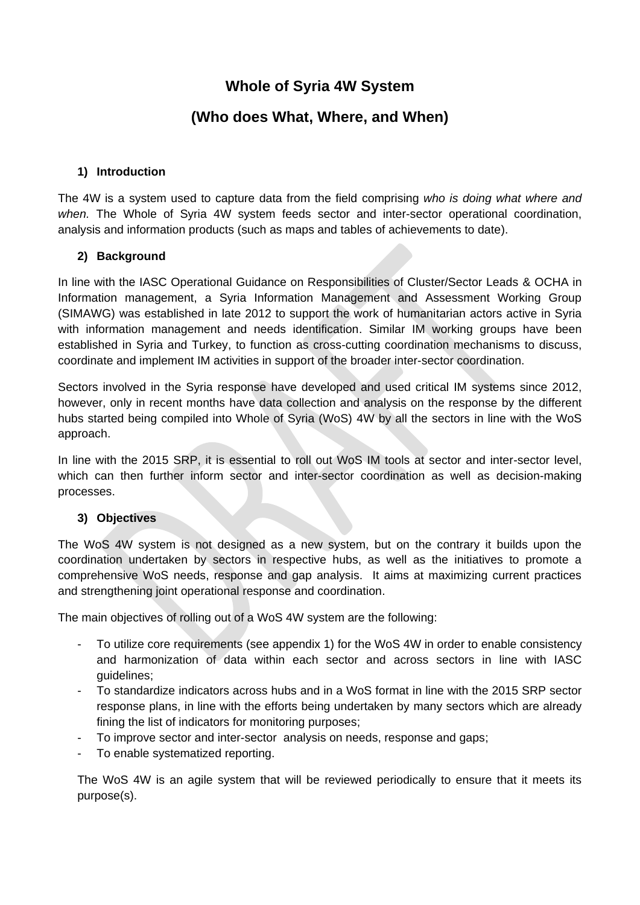# **Whole of Syria 4W System**

# **(Who does What, Where, and When)**

#### **1) Introduction**

The 4W is a system used to capture data from the field comprising *who is doing what where and when.* The Whole of Syria 4W system feeds sector and inter-sector operational coordination, analysis and information products (such as maps and tables of achievements to date).

### **2) Background**

In line with the IASC Operational Guidance on Responsibilities of Cluster/Sector Leads & OCHA in Information management, a Syria Information Management and Assessment Working Group (SIMAWG) was established in late 2012 to support the work of humanitarian actors active in Syria with information management and needs identification. Similar IM working groups have been established in Syria and Turkey, to function as cross-cutting coordination mechanisms to discuss, coordinate and implement IM activities in support of the broader inter-sector coordination.

Sectors involved in the Syria response have developed and used critical IM systems since 2012, however, only in recent months have data collection and analysis on the response by the different hubs started being compiled into Whole of Syria (WoS) 4W by all the sectors in line with the WoS approach.

In line with the 2015 SRP, it is essential to roll out WoS IM tools at sector and inter-sector level, which can then further inform sector and inter-sector coordination as well as decision-making processes.

#### **3) Objectives**

The WoS 4W system is not designed as a new system, but on the contrary it builds upon the coordination undertaken by sectors in respective hubs, as well as the initiatives to promote a comprehensive WoS needs, response and gap analysis. It aims at maximizing current practices and strengthening joint operational response and coordination.

The main objectives of rolling out of a WoS 4W system are the following:

- To utilize core requirements (see appendix 1) for the WoS 4W in order to enable consistency and harmonization of data within each sector and across sectors in line with IASC guidelines;
- To standardize indicators across hubs and in a WoS format in line with the 2015 SRP sector response plans, in line with the efforts being undertaken by many sectors which are already fining the list of indicators for monitoring purposes;
- To improve sector and inter-sector analysis on needs, response and gaps;
- To enable systematized reporting.

The WoS 4W is an agile system that will be reviewed periodically to ensure that it meets its purpose(s).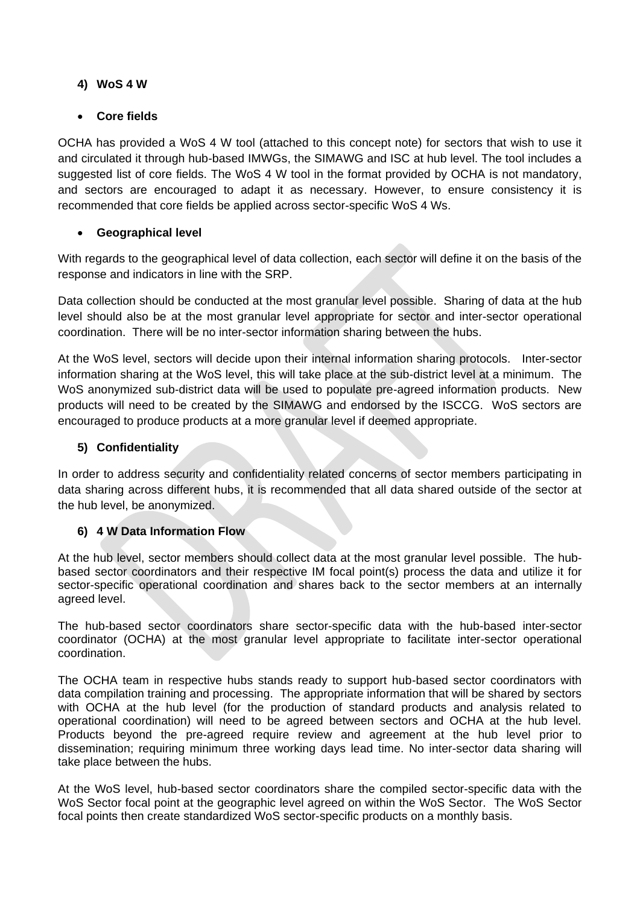# **4) WoS 4 W**

## **Core fields**

OCHA has provided a WoS 4 W tool (attached to this concept note) for sectors that wish to use it and circulated it through hub-based IMWGs, the SIMAWG and ISC at hub level. The tool includes a suggested list of core fields. The WoS 4 W tool in the format provided by OCHA is not mandatory, and sectors are encouraged to adapt it as necessary. However, to ensure consistency it is recommended that core fields be applied across sector-specific WoS 4 Ws.

### **Geographical level**

With regards to the geographical level of data collection, each sector will define it on the basis of the response and indicators in line with the SRP.

Data collection should be conducted at the most granular level possible. Sharing of data at the hub level should also be at the most granular level appropriate for sector and inter-sector operational coordination. There will be no inter-sector information sharing between the hubs.

At the WoS level, sectors will decide upon their internal information sharing protocols. Inter-sector information sharing at the WoS level, this will take place at the sub-district level at a minimum. The WoS anonymized sub-district data will be used to populate pre-agreed information products. New products will need to be created by the SIMAWG and endorsed by the ISCCG. WoS sectors are encouraged to produce products at a more granular level if deemed appropriate.

# **5) Confidentiality**

In order to address security and confidentiality related concerns of sector members participating in data sharing across different hubs, it is recommended that all data shared outside of the sector at the hub level, be anonymized.

### **6) 4 W Data Information Flow**

At the hub level, sector members should collect data at the most granular level possible. The hubbased sector coordinators and their respective IM focal point(s) process the data and utilize it for sector-specific operational coordination and shares back to the sector members at an internally agreed level.

The hub-based sector coordinators share sector-specific data with the hub-based inter-sector coordinator (OCHA) at the most granular level appropriate to facilitate inter-sector operational coordination.

The OCHA team in respective hubs stands ready to support hub-based sector coordinators with data compilation training and processing. The appropriate information that will be shared by sectors with OCHA at the hub level (for the production of standard products and analysis related to operational coordination) will need to be agreed between sectors and OCHA at the hub level. Products beyond the pre-agreed require review and agreement at the hub level prior to dissemination; requiring minimum three working days lead time. No inter-sector data sharing will take place between the hubs.

At the WoS level, hub-based sector coordinators share the compiled sector-specific data with the WoS Sector focal point at the geographic level agreed on within the WoS Sector. The WoS Sector focal points then create standardized WoS sector-specific products on a monthly basis.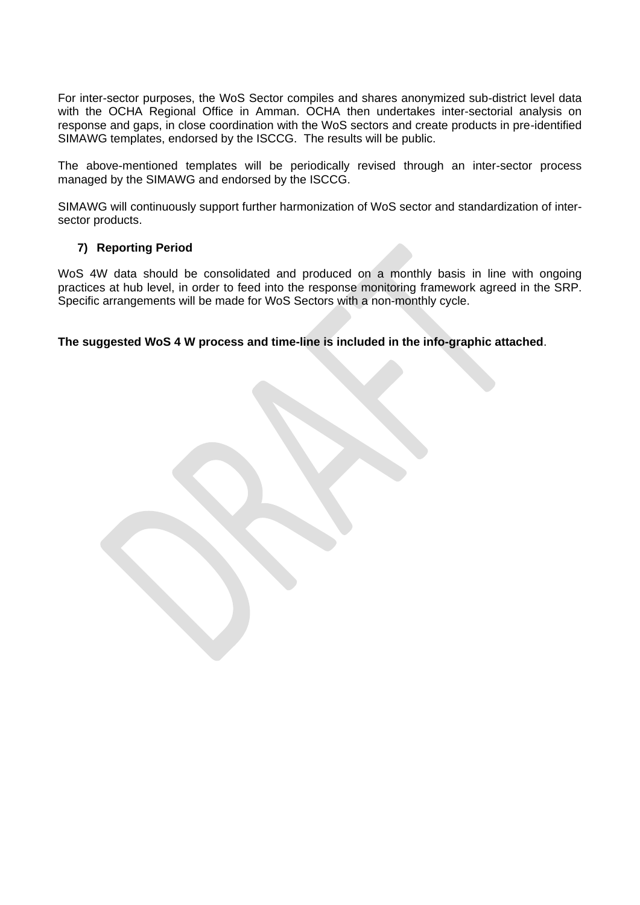For inter-sector purposes, the WoS Sector compiles and shares anonymized sub-district level data with the OCHA Regional Office in Amman. OCHA then undertakes inter-sectorial analysis on response and gaps, in close coordination with the WoS sectors and create products in pre-identified SIMAWG templates, endorsed by the ISCCG. The results will be public.

The above-mentioned templates will be periodically revised through an inter-sector process managed by the SIMAWG and endorsed by the ISCCG.

SIMAWG will continuously support further harmonization of WoS sector and standardization of intersector products.

#### **7) Reporting Period**

WoS 4W data should be consolidated and produced on a monthly basis in line with ongoing practices at hub level, in order to feed into the response monitoring framework agreed in the SRP. Specific arrangements will be made for WoS Sectors with a non-monthly cycle.

**The suggested WoS 4 W process and time-line is included in the info-graphic attached**.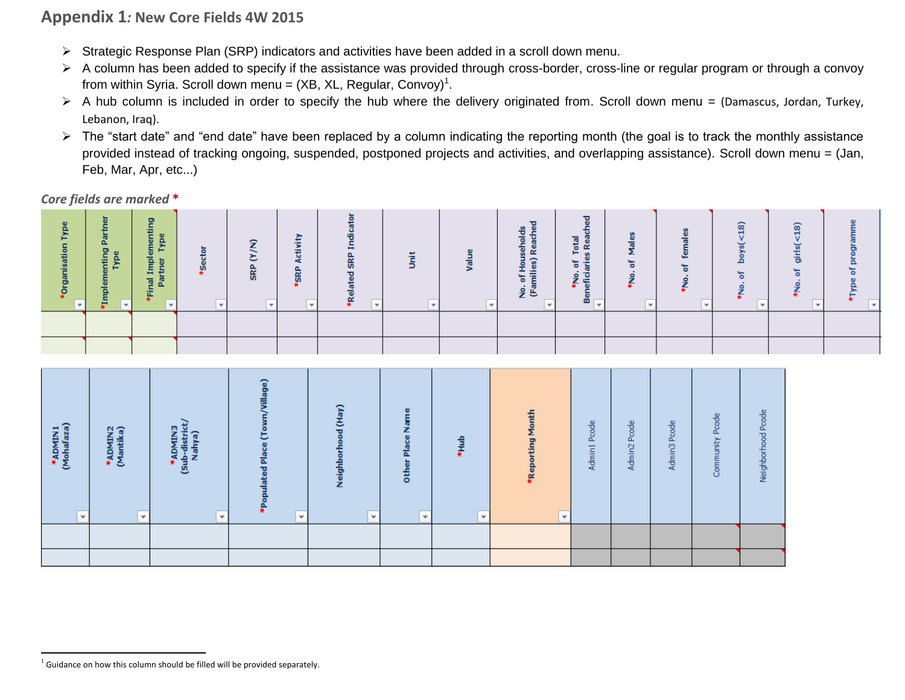# **Appendix 1***:* **New Core Fields 4W 2015**

- Strategic Response Plan (SRP) indicators and activities have been added in a scroll down menu.
- A column has been added to specify if the assistance was provided through cross-border, cross-line or regular program or through a convoy from within Syria. Scroll down menu = (XB, XL, Regular, Convoy)<sup>1</sup>.
- A hub column is included in order to specify the hub where the delivery originated from. Scroll down menu = (Damascus, Jordan, Turkey, Lebanon, Iraq).
- > The "start date" and "end date" have been replaced by a column indicating the reporting month (the goal is to track the monthly assistance provided instead of tracking ongoing, suspended, postponed projects and activities, and overlapping assistance). Scroll down menu = (Jan, Feb, Mar, Apr, etc...)

*Core fields are marked* **\***

| <b>A</b> | 능<br>Δ.<br>모<br>휨<br>트 | ₽<br>ă.<br>≂<br>-<br>Ē<br>tner<br>゠<br>Δ.<br>ïΕ | $\bullet$<br>ഄഀ | ÷<br><b>SRP</b> | $\mathbf{z}$<br>高<br>SRP | œ<br>ъ |  | $\bullet$<br>&<br>ລ<br>Ē<br>'€ | -<br>otal<br>σ<br>$\alpha$<br>⊢<br>$\omega$<br>$\circ$<br>efici<br><u>e</u><br>÷<br>듦<br>œ | 8<br>$\circ$<br>ę. | ÷ | ၜ |  |
|----------|------------------------|-------------------------------------------------|-----------------|-----------------|--------------------------|--------|--|--------------------------------|--------------------------------------------------------------------------------------------|--------------------|---|---|--|
|          |                        |                                                 |                 |                 |                          |        |  |                                |                                                                                            |                    |   |   |  |
|          |                        |                                                 |                 |                 |                          |        |  |                                |                                                                                            |                    |   |   |  |

| *ADMIN1<br>(Mohafaza)<br>$\overline{\mathbf{v}}$ | *ADMIN2<br>(Mantika)<br>$\overline{\mathbf{v}}$ | *ADMIN3<br>ub-district <sub>/</sub><br>Nahya)<br>Ś.<br>$\overline{\phantom{a}}$ | fillage)<br>ated Place (To<br>$\overline{\phantom{0}}$ | Neighborhood (Hay)<br>$\overline{\mathbf{v}}$ | ω<br>$\overline{\mathbf{a}}$<br>꽁<br>$\overline{\mathbf{v}}$ | *Hub<br>$\overline{\mathbf{v}}$ | *Reporting Month<br>$\overline{\mathbf{v}}$ | Pcode<br>Admin1 | Admin <sub>2</sub> Pcode | Admin3 Pcode | Pcode<br>Community | Neighborhood Pcode |
|--------------------------------------------------|-------------------------------------------------|---------------------------------------------------------------------------------|--------------------------------------------------------|-----------------------------------------------|--------------------------------------------------------------|---------------------------------|---------------------------------------------|-----------------|--------------------------|--------------|--------------------|--------------------|
|                                                  |                                                 |                                                                                 |                                                        |                                               |                                                              |                                 |                                             |                 |                          |              |                    |                    |
|                                                  |                                                 |                                                                                 |                                                        |                                               |                                                              |                                 |                                             |                 |                          |              |                    |                    |

 $\overline{\phantom{a}}$ 

 $^1$  Guidance on how this column should be filled will be provided separately.